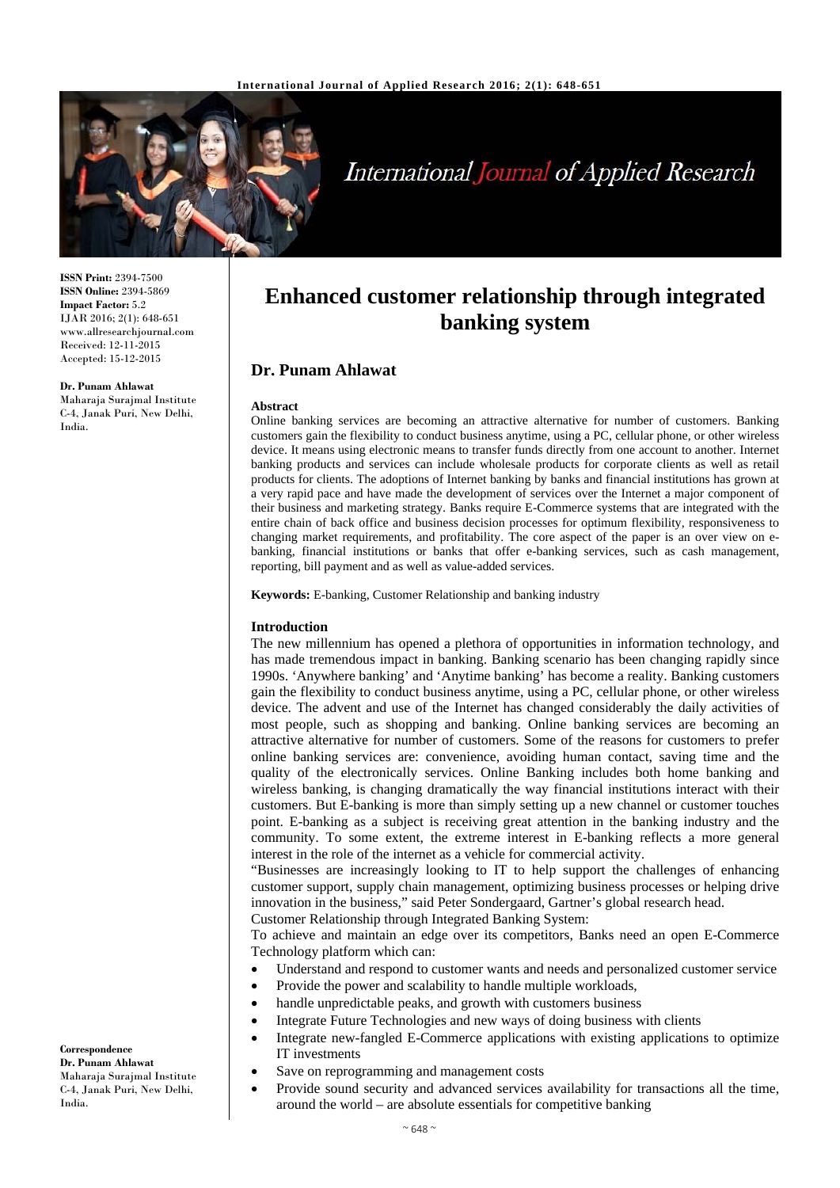

# International Journal of Applied Research

**ISSN Print:** 2394-7500 **ISSN Online:** 2394-5869 **Impact Factor:** 5.2 IJAR 2016; 2(1): 648-651 www.allresearchjournal.com Received: 12-11-2015 Accepted: 15-12-2015

#### **Dr. Punam Ahlawat**

Maharaja Surajmal Institute C-4, Janak Puri, New Delhi, India.

## **Enhanced customer relationship through integrated banking system**

## **Dr. Punam Ahlawat**

#### **Abstract**

Online banking services are becoming an attractive alternative for number of customers. Banking customers gain the flexibility to conduct business anytime, using a PC, cellular phone, or other wireless device. It means using electronic means to transfer funds directly from one account to another. Internet banking products and services can include wholesale products for corporate clients as well as retail products for clients. The adoptions of Internet banking by banks and financial institutions has grown at a very rapid pace and have made the development of services over the Internet a major component of their business and marketing strategy. Banks require E-Commerce systems that are integrated with the entire chain of back office and business decision processes for optimum flexibility, responsiveness to changing market requirements, and profitability. The core aspect of the paper is an over view on ebanking, financial institutions or banks that offer e-banking services, such as cash management, reporting, bill payment and as well as value-added services.

**Keywords:** E-banking, Customer Relationship and banking industry

#### **Introduction**

The new millennium has opened a plethora of opportunities in information technology, and has made tremendous impact in banking. Banking scenario has been changing rapidly since 1990s. 'Anywhere banking' and 'Anytime banking' has become a reality. Banking customers gain the flexibility to conduct business anytime, using a PC, cellular phone, or other wireless device. The advent and use of the Internet has changed considerably the daily activities of most people, such as shopping and banking. Online banking services are becoming an attractive alternative for number of customers. Some of the reasons for customers to prefer online banking services are: convenience, avoiding human contact, saving time and the quality of the electronically services. Online Banking includes both home banking and wireless banking, is changing dramatically the way financial institutions interact with their customers. But E-banking is more than simply setting up a new channel or customer touches point. E-banking as a subject is receiving great attention in the banking industry and the community. To some extent, the extreme interest in E-banking reflects a more general interest in the role of the internet as a vehicle for commercial activity.

"Businesses are increasingly looking to IT to help support the challenges of enhancing customer support, supply chain management, optimizing business processes or helping drive innovation in the business," said Peter Sondergaard, Gartner's global research head.

Customer Relationship through Integrated Banking System:

To achieve and maintain an edge over its competitors, Banks need an open E-Commerce Technology platform which can:

- Understand and respond to customer wants and needs and personalized customer service
- Provide the power and scalability to handle multiple workloads,
- handle unpredictable peaks, and growth with customers business
- Integrate Future Technologies and new ways of doing business with clients
- Integrate new-fangled E-Commerce applications with existing applications to optimize IT investments
- Save on reprogramming and management costs
- Provide sound security and advanced services availability for transactions all the time, around the world – are absolute essentials for competitive banking

#### **Correspondence Dr. Punam Ahlawat**  Maharaja Surajmal Institute

C-4, Janak Puri, New Delhi, India.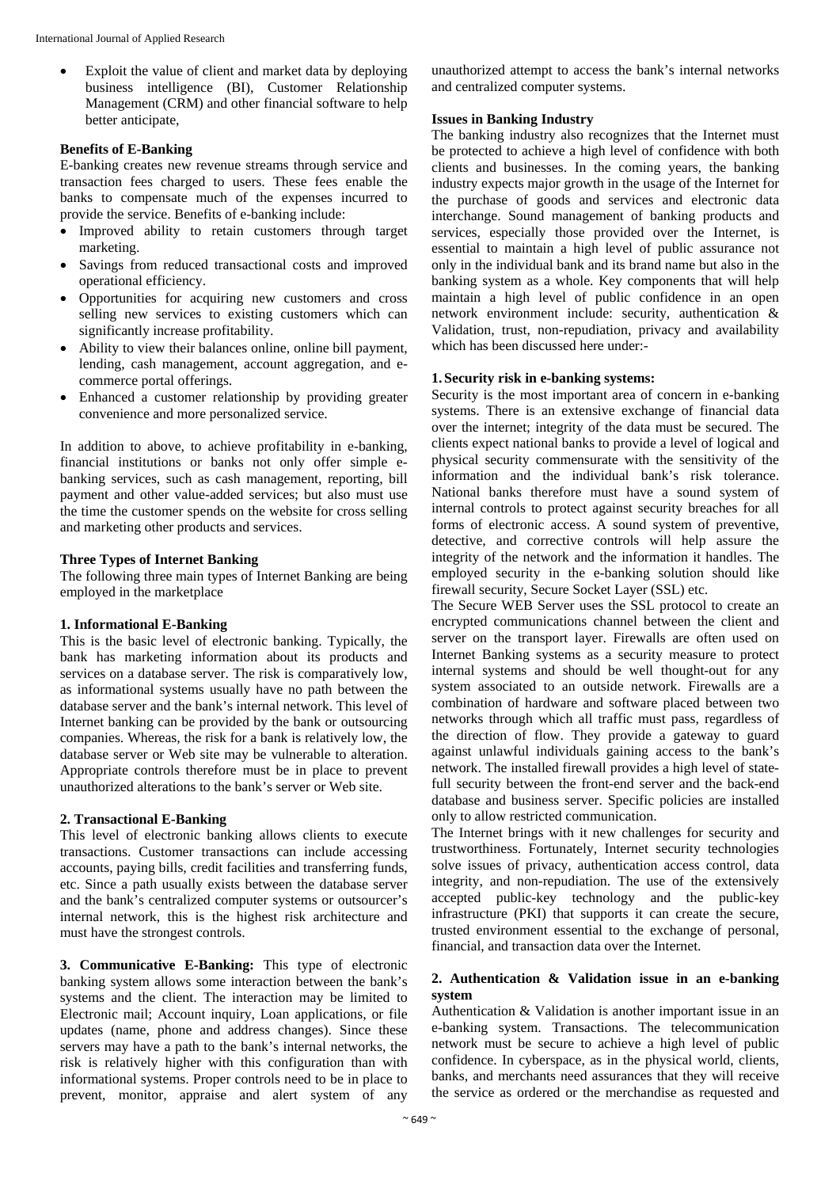Exploit the value of client and market data by deploying business intelligence (BI), Customer Relationship Management (CRM) and other financial software to help better anticipate,

#### **Benefits of E-Banking**

E-banking creates new revenue streams through service and transaction fees charged to users. These fees enable the banks to compensate much of the expenses incurred to provide the service. Benefits of e-banking include:

- Improved ability to retain customers through target marketing.
- Savings from reduced transactional costs and improved operational efficiency.
- Opportunities for acquiring new customers and cross selling new services to existing customers which can significantly increase profitability.
- Ability to view their balances online, online bill payment, lending, cash management, account aggregation, and ecommerce portal offerings.
- Enhanced a customer relationship by providing greater convenience and more personalized service.

In addition to above, to achieve profitability in e-banking, financial institutions or banks not only offer simple ebanking services, such as cash management, reporting, bill payment and other value-added services; but also must use the time the customer spends on the website for cross selling and marketing other products and services.

#### **Three Types of Internet Banking**

The following three main types of Internet Banking are being employed in the marketplace

#### **1. Informational E-Banking**

This is the basic level of electronic banking. Typically, the bank has marketing information about its products and services on a database server. The risk is comparatively low, as informational systems usually have no path between the database server and the bank's internal network. This level of Internet banking can be provided by the bank or outsourcing companies. Whereas, the risk for a bank is relatively low, the database server or Web site may be vulnerable to alteration. Appropriate controls therefore must be in place to prevent unauthorized alterations to the bank's server or Web site.

#### **2. Transactional E-Banking**

This level of electronic banking allows clients to execute transactions. Customer transactions can include accessing accounts, paying bills, credit facilities and transferring funds, etc. Since a path usually exists between the database server and the bank's centralized computer systems or outsourcer's internal network, this is the highest risk architecture and must have the strongest controls.

**3. Communicative E-Banking:** This type of electronic banking system allows some interaction between the bank's systems and the client. The interaction may be limited to Electronic mail; Account inquiry, Loan applications, or file updates (name, phone and address changes). Since these servers may have a path to the bank's internal networks, the risk is relatively higher with this configuration than with informational systems. Proper controls need to be in place to prevent, monitor, appraise and alert system of any

unauthorized attempt to access the bank's internal networks and centralized computer systems.

#### **Issues in Banking Industry**

The banking industry also recognizes that the Internet must be protected to achieve a high level of confidence with both clients and businesses. In the coming years, the banking industry expects major growth in the usage of the Internet for the purchase of goods and services and electronic data interchange. Sound management of banking products and services, especially those provided over the Internet, is essential to maintain a high level of public assurance not only in the individual bank and its brand name but also in the banking system as a whole. Key components that will help maintain a high level of public confidence in an open network environment include: security, authentication & Validation, trust, non-repudiation, privacy and availability which has been discussed here under:-

#### **1. Security risk in e-banking systems:**

Security is the most important area of concern in e-banking systems. There is an extensive exchange of financial data over the internet; integrity of the data must be secured. The clients expect national banks to provide a level of logical and physical security commensurate with the sensitivity of the information and the individual bank's risk tolerance. National banks therefore must have a sound system of internal controls to protect against security breaches for all forms of electronic access. A sound system of preventive, detective, and corrective controls will help assure the integrity of the network and the information it handles. The employed security in the e-banking solution should like firewall security, Secure Socket Layer (SSL) etc.

The Secure WEB Server uses the SSL protocol to create an encrypted communications channel between the client and server on the transport layer. Firewalls are often used on Internet Banking systems as a security measure to protect internal systems and should be well thought-out for any system associated to an outside network. Firewalls are a combination of hardware and software placed between two networks through which all traffic must pass, regardless of the direction of flow. They provide a gateway to guard against unlawful individuals gaining access to the bank's network. The installed firewall provides a high level of statefull security between the front-end server and the back-end database and business server. Specific policies are installed only to allow restricted communication.

The Internet brings with it new challenges for security and trustworthiness. Fortunately, Internet security technologies solve issues of privacy, authentication access control, data integrity, and non-repudiation. The use of the extensively accepted public-key technology and the public-key infrastructure (PKI) that supports it can create the secure, trusted environment essential to the exchange of personal, financial, and transaction data over the Internet.

#### **2. Authentication & Validation issue in an e-banking system**

Authentication & Validation is another important issue in an e-banking system. Transactions. The telecommunication network must be secure to achieve a high level of public confidence. In cyberspace, as in the physical world, clients, banks, and merchants need assurances that they will receive the service as ordered or the merchandise as requested and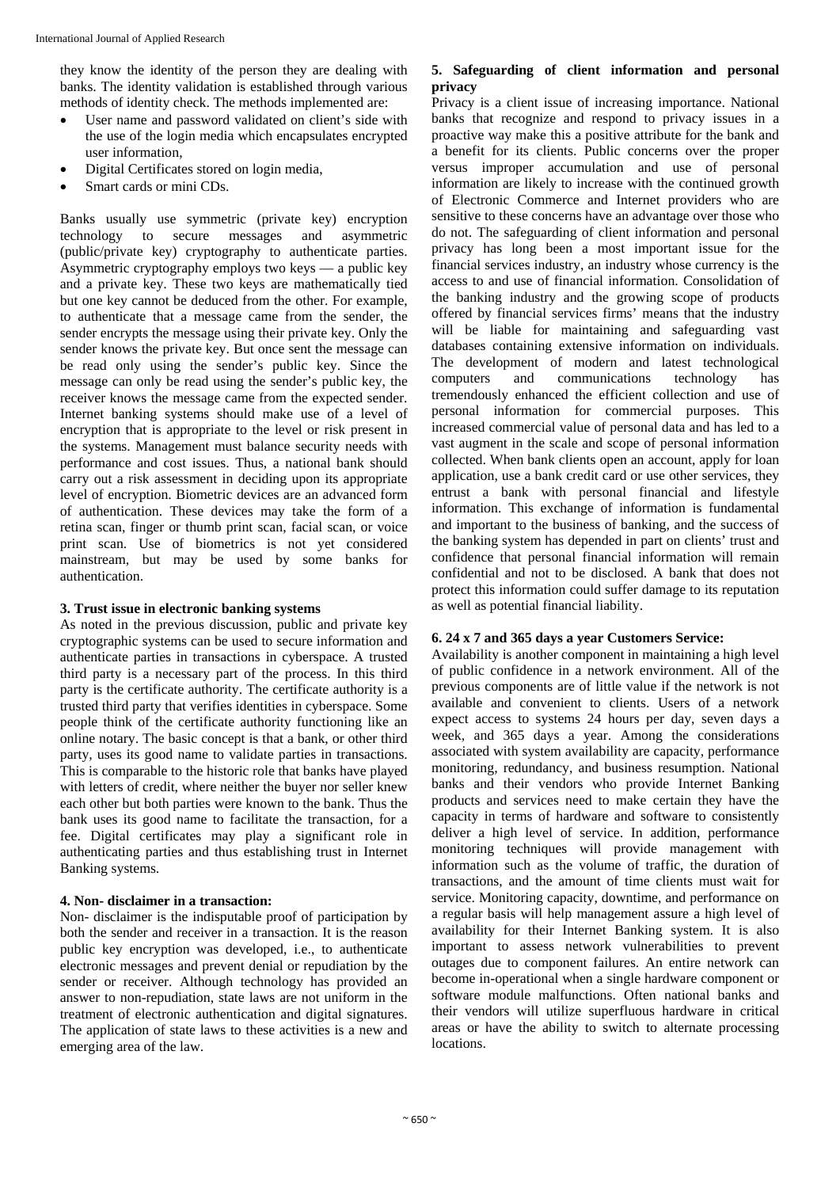they know the identity of the person they are dealing with banks. The identity validation is established through various methods of identity check. The methods implemented are:

- User name and password validated on client's side with the use of the login media which encapsulates encrypted user information,
- Digital Certificates stored on login media,
- Smart cards or mini CDs.

Banks usually use symmetric (private key) encryption technology to secure messages and asymmetric (public/private key) cryptography to authenticate parties. Asymmetric cryptography employs two keys — a public key and a private key. These two keys are mathematically tied but one key cannot be deduced from the other. For example, to authenticate that a message came from the sender, the sender encrypts the message using their private key. Only the sender knows the private key. But once sent the message can be read only using the sender's public key. Since the message can only be read using the sender's public key, the receiver knows the message came from the expected sender. Internet banking systems should make use of a level of encryption that is appropriate to the level or risk present in the systems. Management must balance security needs with performance and cost issues. Thus, a national bank should carry out a risk assessment in deciding upon its appropriate level of encryption. Biometric devices are an advanced form of authentication. These devices may take the form of a retina scan, finger or thumb print scan, facial scan, or voice print scan. Use of biometrics is not yet considered mainstream, but may be used by some banks for authentication.

#### **3. Trust issue in electronic banking systems**

As noted in the previous discussion, public and private key cryptographic systems can be used to secure information and authenticate parties in transactions in cyberspace. A trusted third party is a necessary part of the process. In this third party is the certificate authority. The certificate authority is a trusted third party that verifies identities in cyberspace. Some people think of the certificate authority functioning like an online notary. The basic concept is that a bank, or other third party, uses its good name to validate parties in transactions. This is comparable to the historic role that banks have played with letters of credit, where neither the buyer nor seller knew each other but both parties were known to the bank. Thus the bank uses its good name to facilitate the transaction, for a fee. Digital certificates may play a significant role in authenticating parties and thus establishing trust in Internet Banking systems.

#### **4. Non- disclaimer in a transaction:**

Non- disclaimer is the indisputable proof of participation by both the sender and receiver in a transaction. It is the reason public key encryption was developed, i.e., to authenticate electronic messages and prevent denial or repudiation by the sender or receiver. Although technology has provided an answer to non-repudiation, state laws are not uniform in the treatment of electronic authentication and digital signatures. The application of state laws to these activities is a new and emerging area of the law.

#### **5. Safeguarding of client information and personal privacy**

Privacy is a client issue of increasing importance. National banks that recognize and respond to privacy issues in a proactive way make this a positive attribute for the bank and a benefit for its clients. Public concerns over the proper versus improper accumulation and use of personal information are likely to increase with the continued growth of Electronic Commerce and Internet providers who are sensitive to these concerns have an advantage over those who do not. The safeguarding of client information and personal privacy has long been a most important issue for the financial services industry, an industry whose currency is the access to and use of financial information. Consolidation of the banking industry and the growing scope of products offered by financial services firms' means that the industry will be liable for maintaining and safeguarding vast databases containing extensive information on individuals. The development of modern and latest technological computers and communications technology has tremendously enhanced the efficient collection and use of personal information for commercial purposes. This increased commercial value of personal data and has led to a vast augment in the scale and scope of personal information collected. When bank clients open an account, apply for loan application, use a bank credit card or use other services, they entrust a bank with personal financial and lifestyle information. This exchange of information is fundamental and important to the business of banking, and the success of the banking system has depended in part on clients' trust and confidence that personal financial information will remain confidential and not to be disclosed. A bank that does not protect this information could suffer damage to its reputation as well as potential financial liability.

#### **6. 24 x 7 and 365 days a year Customers Service:**

Availability is another component in maintaining a high level of public confidence in a network environment. All of the previous components are of little value if the network is not available and convenient to clients. Users of a network expect access to systems 24 hours per day, seven days a week, and 365 days a year. Among the considerations associated with system availability are capacity, performance monitoring, redundancy, and business resumption. National banks and their vendors who provide Internet Banking products and services need to make certain they have the capacity in terms of hardware and software to consistently deliver a high level of service. In addition, performance monitoring techniques will provide management with information such as the volume of traffic, the duration of transactions, and the amount of time clients must wait for service. Monitoring capacity, downtime, and performance on a regular basis will help management assure a high level of availability for their Internet Banking system. It is also important to assess network vulnerabilities to prevent outages due to component failures. An entire network can become in-operational when a single hardware component or software module malfunctions. Often national banks and their vendors will utilize superfluous hardware in critical areas or have the ability to switch to alternate processing locations.